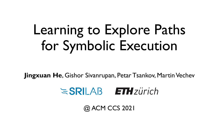# Learning to Explore Paths for Symbolic Execution

**Jingxuan He**, Gishor Sivanrupan, Petar Tsankov, Martin Vechev



@ ACM CCS 2021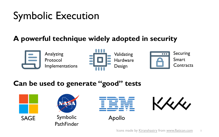# Symbolic Execution

#### **A powerful technique widely adopted in security**



Analyzing Protocol Implementations





#### **Can be used to generate "good" tests**





SAGE Symbolic **PathFinder** 



Apollo

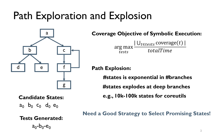### Path Exploration and Explosion



**Coverage Objective of Symbolic Execution:**

arg max tests  $|U_{t \in tests}$  coverage $(t)$  |  $\overline{totalTime}$ 

**Path Explosion:**

**#states is exponential in #branches #states explodes at deep branches**

**e.g., 10k-100k states for coreutils**

**Candidate States:**  $a_0$   $b_0$   $c_0$   $d_0$   $e_0$ 

**Tests Generated:**

 $a_0-b_0-e_0$ 

**Need a Good Strategy to Select Promising States!**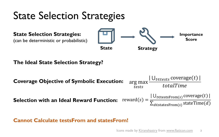#### State Selection Strategies



#### **Cannot Calculate testsFrom and statesFrom!**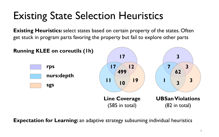### Existing State Selection Heuristics

**Existing Heuristics:** select states based on certain property of the states. Often get stuck in program parts favoring the property but fail to explore other parts



**Expectation for Learning:** an adaptive strategy subsuming individual heuristics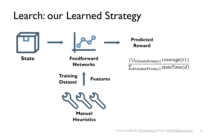## Learch: our Learned Strategy



**State Feedforward Networks**

> **Training Dataset Features**



**Manuel Heuristics**

**Predicted Reward**

 $|U_{t \in \text{testsFrom}(s)} \text{coverage}(t)|$  $\overline{\Sigma_{d\in\text{statesFrom}(s)}\text{stateTime}(d)}$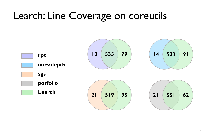### Learch: Line Coverage on coreutils

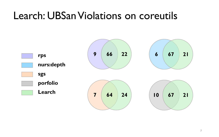#### Learch: UBSan Violations on coreutils

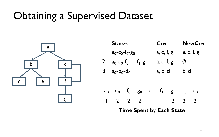#### Obtaining a Supervised Dataset

a b c d | e | | f g

|                                 | <b>States</b>                         |              |                   |            | Cov                                  |   |                | <b>NewCov</b>  |  |
|---------------------------------|---------------------------------------|--------------|-------------------|------------|--------------------------------------|---|----------------|----------------|--|
| $\mathbf{I}$                    | $a_0$ - $c_0$ - $f_0$ - $g_0$         |              |                   |            | a, c, f, g                           |   |                | a, c, f, g     |  |
|                                 | 2 $a_0 - c_0 - f_0 - c_1 - f_1 - g_1$ |              |                   | a, c, f, g |                                      | Ø |                |                |  |
|                                 | 3 $a_0-b_0-d_0$                       |              |                   | a, b, d    |                                      |   | b, d           |                |  |
|                                 |                                       |              |                   |            |                                      |   |                |                |  |
| $a_0$                           |                                       |              | $c_0$ $f_0$ $g_0$ |            | $c_1$ $f_1$ $g_1$                    |   | $b_0$          | d <sub>0</sub> |  |
|                                 |                                       | $2 \sqrt{2}$ | $2^{\circ}$       |            | $\begin{array}{ccc} & 2 \end{array}$ |   | $\overline{2}$ |                |  |
| <b>Time Spent by Each State</b> |                                       |              |                   |            |                                      |   |                |                |  |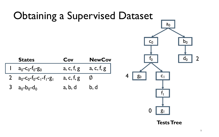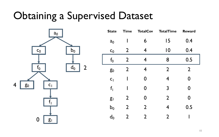#### Obtaining a Supervised Dataset



| <b>State</b>   | <b>Time</b>    | <b>TotalCov</b> | <b>TotalTime</b> | <b>Reward</b>  |  |
|----------------|----------------|-----------------|------------------|----------------|--|
| a <sub>0</sub> |                | 6               | 15               | 0.4            |  |
| $c_0$          | $\overline{2}$ | 4               | $\overline{0}$   | 0.4            |  |
| f <sub>0</sub> | $\overline{2}$ | 4               | 8                | 0.5            |  |
| g <sub>0</sub> | $\overline{2}$ | 4               | $\overline{2}$   | $\overline{2}$ |  |
| C <sub>1</sub> | I              | 0               | 4                | 0              |  |
| f <sub>1</sub> |                | 0               | 3                | 0              |  |
| g <sub>1</sub> | $\overline{2}$ | 0               | $\overline{2}$   | 0              |  |
| $b_0$          | $\overline{2}$ | $\overline{2}$  | 4                | 0.5            |  |
| $d_0$          | 2              | $\overline{2}$  | $\overline{2}$   |                |  |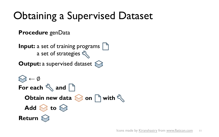## Obtaining a Supervised Dataset

**Procedure** genData

**Input:** a set of training programs a set of strategies **Output:** a supervised dataset **←** ∅ **Obtain new data**  $\otimes$  **on b** with  $\&$ **For each**  $\leq$  and **n** Add  $\otimes$  to  $\otimes$ **Return**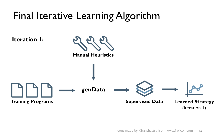## Final Iterative Learning Algorithm

**Iteration 1:**



#### **Manual Heuristics**

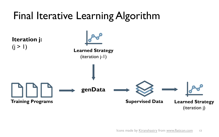## Final Iterative Learning Algorithm

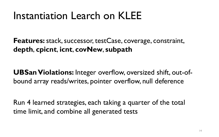#### Instantiation Learch on KLEE

**Features:** stack, successor, testCase, coverage, constraint, **depth**, **cpicnt**, **icnt**, **covNew**, **subpath**

**UBSan Violations:** Integer overflow, oversized shift, out-ofbound array reads/writes, pointer overflow, null deference

Run 4 learned strategies, each taking a quarter of the total time limit, and combine all generated tests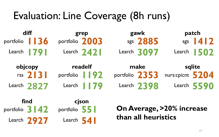#### Evaluation: Line Coverage (8h runs)

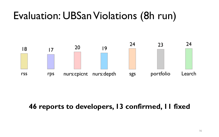#### Evaluation: UBSan Violations (8h run)



#### **46 reports to developers, 13 confirmed, 11 fixed**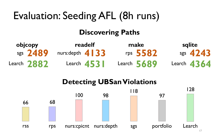# Evaluation: Seeding AFL (8h runs)

#### **Discovering Paths**

| objcopy |             | readelf                                  |              | make |               | sqlite |               |
|---------|-------------|------------------------------------------|--------------|------|---------------|--------|---------------|
|         | $sgs$ 2489  | nurs: depth $\left  \frac{4}{3} \right $ |              |      | rps 5582      |        | sgs $4243$    |
|         | Learch 2882 |                                          | Learch $453$ |      | Learch $5689$ |        | Learch $4364$ |

#### **Detecting UBSan Violations**

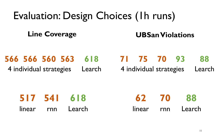#### Evaluation: Design Choices (1h runs) **Line Coverage 566 566 560 563 618 UBSan Violations 71 75 70 93**

4 individual strategies

Learch

4 individual strategies **88** Learch

|  | 517 541 618       |  | 62 70 88          |
|--|-------------------|--|-------------------|
|  | linear rnn Learch |  | linear rnn Learch |